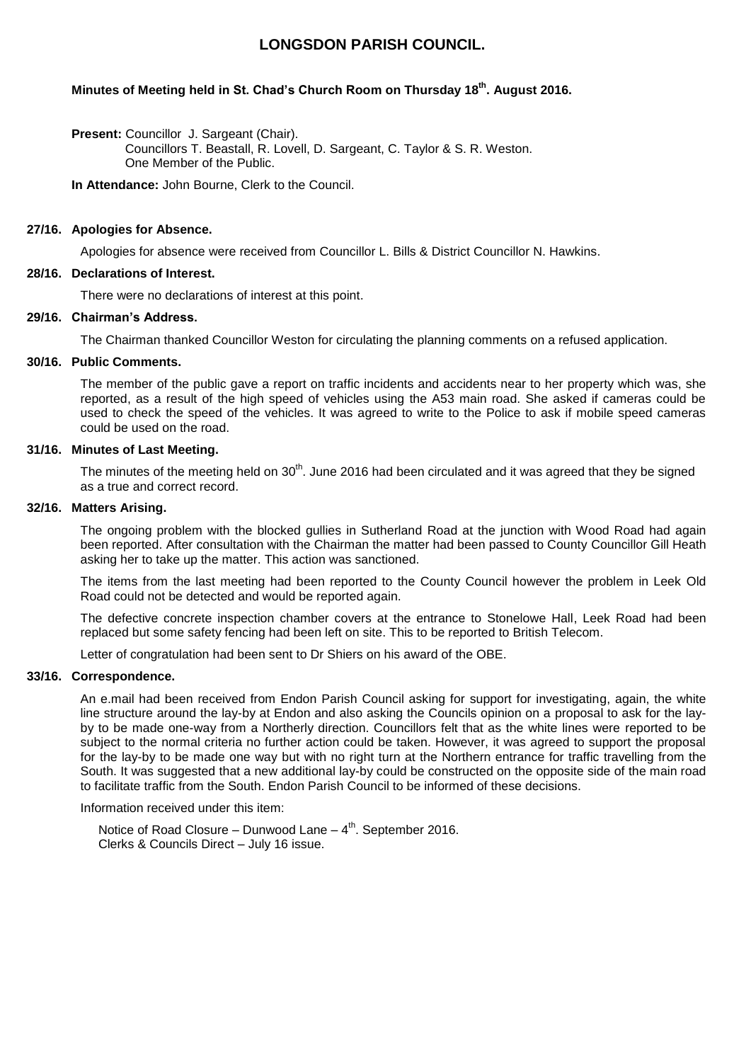# **LONGSDON PARISH COUNCIL.**

## **Minutes of Meeting held in St. Chad's Church Room on Thursday 18th. August 2016.**

**Present: Councillor J. Sargeant (Chair).** 

Councillors T. Beastall, R. Lovell, D. Sargeant, C. Taylor & S. R. Weston. One Member of the Public.

**In Attendance:** John Bourne, Clerk to the Council.

## **27/16. Apologies for Absence.**

Apologies for absence were received from Councillor L. Bills & District Councillor N. Hawkins.

## **28/16. Declarations of Interest.**

There were no declarations of interest at this point.

## **29/16. Chairman's Address.**

The Chairman thanked Councillor Weston for circulating the planning comments on a refused application.

## **30/16. Public Comments.**

The member of the public gave a report on traffic incidents and accidents near to her property which was, she reported, as a result of the high speed of vehicles using the A53 main road. She asked if cameras could be used to check the speed of the vehicles. It was agreed to write to the Police to ask if mobile speed cameras could be used on the road.

## **31/16. Minutes of Last Meeting.**

The minutes of the meeting held on  $30<sup>th</sup>$ . June 2016 had been circulated and it was agreed that they be signed as a true and correct record.

#### **32/16. Matters Arising.**

The ongoing problem with the blocked gullies in Sutherland Road at the junction with Wood Road had again been reported. After consultation with the Chairman the matter had been passed to County Councillor Gill Heath asking her to take up the matter. This action was sanctioned.

The items from the last meeting had been reported to the County Council however the problem in Leek Old Road could not be detected and would be reported again.

The defective concrete inspection chamber covers at the entrance to Stonelowe Hall, Leek Road had been replaced but some safety fencing had been left on site. This to be reported to British Telecom.

Letter of congratulation had been sent to Dr Shiers on his award of the OBE.

#### **33/16. Correspondence.**

An e.mail had been received from Endon Parish Council asking for support for investigating, again, the white line structure around the lay-by at Endon and also asking the Councils opinion on a proposal to ask for the layby to be made one-way from a Northerly direction. Councillors felt that as the white lines were reported to be subject to the normal criteria no further action could be taken. However, it was agreed to support the proposal for the lay-by to be made one way but with no right turn at the Northern entrance for traffic travelling from the South. It was suggested that a new additional lay-by could be constructed on the opposite side of the main road to facilitate traffic from the South. Endon Parish Council to be informed of these decisions.

Information received under this item:

Notice of Road Closure – Dunwood Lane  $-4$ <sup>th</sup>. September 2016. Clerks & Councils Direct – July 16 issue.